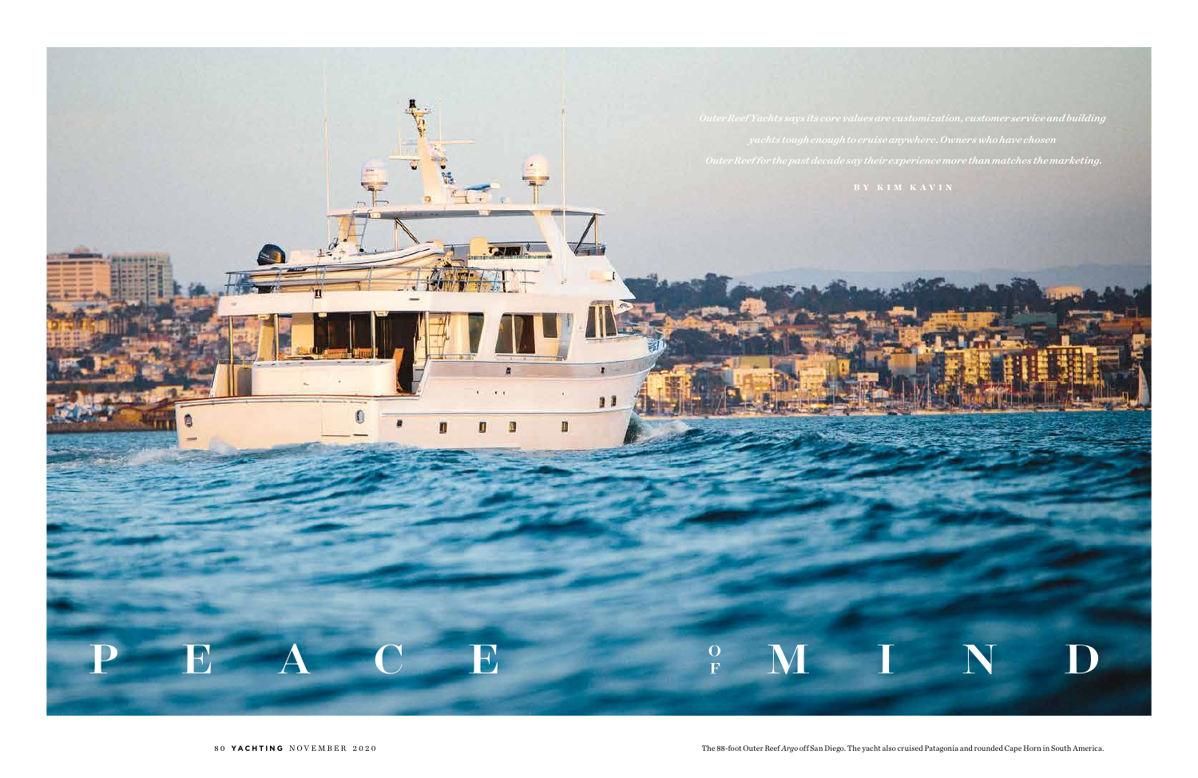

80 **YACHTING** NOVEMBER 2020 **The 88-foot Outer Reef** *Argo* **off San Diego. The yacht also cruised Patagonia and rounded Cape Horn in South America.**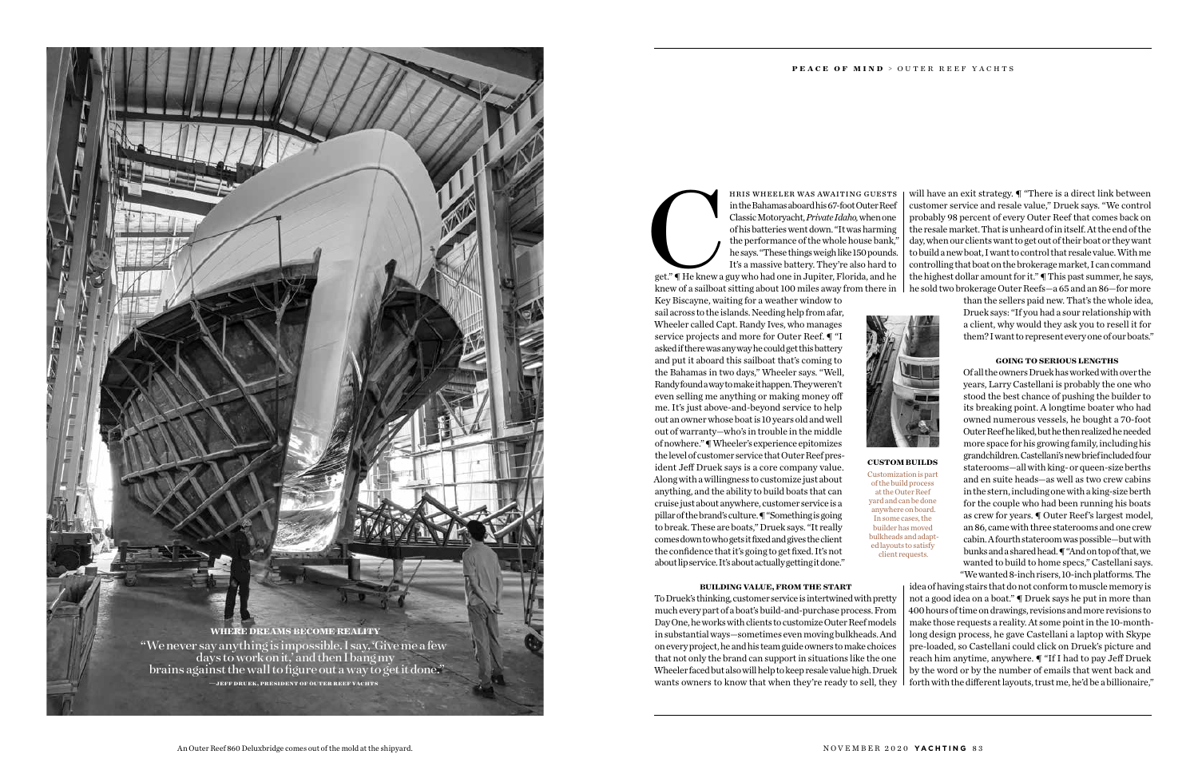get." ¶ He knew a guy who had one in Jupiter, Florida, and he knew of a sailboat sitting about 100 miles away from there in Key Biscayne, waiting for a weather window to

sail across to the islands. Needing help from afar, Wheeler called Capt. Randy Ives, who manages service projects and more for Outer Reef. ¶ "I asked if there was any way he could get this battery and put it aboard this sailboat that's coming to the Bahamas in two days," Wheeler says. "Well, Randy found a way to make it happen. They weren't even selling me anything or making money off me. It's just above-and-beyond service to help out an owner whose boat is 10 years old and well out of warranty—who's in trouble in the middle of nowhere." ¶ Wheeler's experience epitomizes the level of customer service that Outer Reef president Jeff Druek says is a core company value. Along with a willingness to customize just about anything, and the ability to build boats that can cruise just about anywhere, customer service is a pillar of the brand's culture. ¶ "Something is going to break. These are boats," Druek says. "It really comes down to who gets it fixed and gives the client the confidence that it's going to get fixed. It's not about lip service. It's about actually getting it done."



HRIS WHEELER WAS AWAITING GUESTS<br>in the Bahamas aboard his 67-foot Outer Reef<br>Classic Motoryacht, *Private Idaho*, when one<br>of his batteries went down. "It was harming<br>the performance of the whole house bank,"<br>he says. "Th in the Bahamas aboard his 67-foot Outer Reef Classic Motoryacht, *Private Idaho,* when one of his batteries went down. "It was harming the performance of the whole house bank," he says. "These things weigh like 150 pounds. It's a massive battery. They're also hard to will have an exit strategy. ¶ "There is a direct link between customer service and resale value," Druek says. "We control probably 98 percent of every Outer Reef that comes back on the resale market. That is unheard of in itself. At the end of the day, when our clients want to get out of their boat or they want to build a new boat, I want to control that resale value. With me controlling that boat on the brokerage market, I can command the highest dollar amount for it." ¶ This past summer, he says, he sold two brokerage Outer Reefs—a 65 and an 86—for more

than the sellers paid new. That's the whole idea, Druek says: "If you had a sour relationship with a client, why would they ask you to resell it for them? I want to represent every one of our boats."

# **GOING TO SERIOUS LENGTHS**

**BUILDING VALUE, FROM THE START** To Druek's thinking, customer service is intertwined with pretty much every part of a boat's build-and-purchase process. From Day One, he works with clients to customize Outer Reef models in substantial ways—sometimes even moving bulkheads. And on every project, he and his team guide owners to make choices that not only the brand can support in situations like the one Wheeler faced but also will help to keep resale value high. Druek wants owners to know that when they're ready to sell, they idea of having stairs that do not conform to muscle memory is not a good idea on a boat." ¶ Druek says he put in more than 400 hours of time on drawings, revisions and more revisions to make those requests a reality. At some point in the 10-monthlong design process, he gave Castellani a laptop with Skype pre-loaded, so Castellani could click on Druek's picture and reach him anytime, anywhere. ¶ "If I had to pay Jeff Druek by the word or by the number of emails that went back and forth with the different layouts, trust me, he'd be a billionaire,"

Of all the owners Druek has worked with over the years, Larry Castellani is probably the one who stood the best chance of pushing the builder to its breaking point. A longtime boater who had owned numerous vessels, he bought a 70-foot Outer Reef he liked, but he then realized he needed more space for his growing family, including his grandchildren. Castellani's new brief included four staterooms—all with king- or queen-size berths and en suite heads—as well as two crew cabins in the stern, including one with a king-size berth for the couple who had been running his boats as crew for years. ¶ Outer Reef's largest model, an 86, came with three staterooms and one crew cabin. A fourth stateroom was possible—but with bunks and a shared head. ¶ "And on top of that, we wanted to build to home specs," Castellani says. "We wanted 8-inch risers, 10-inch platforms. The

**CUSTOM BUILDS**

Customization is part of the build process at the Outer Reef yard and can be done anywhere on board. In some cases, the builder has moved bulkheads and adapted layouts to satisfy client requests.

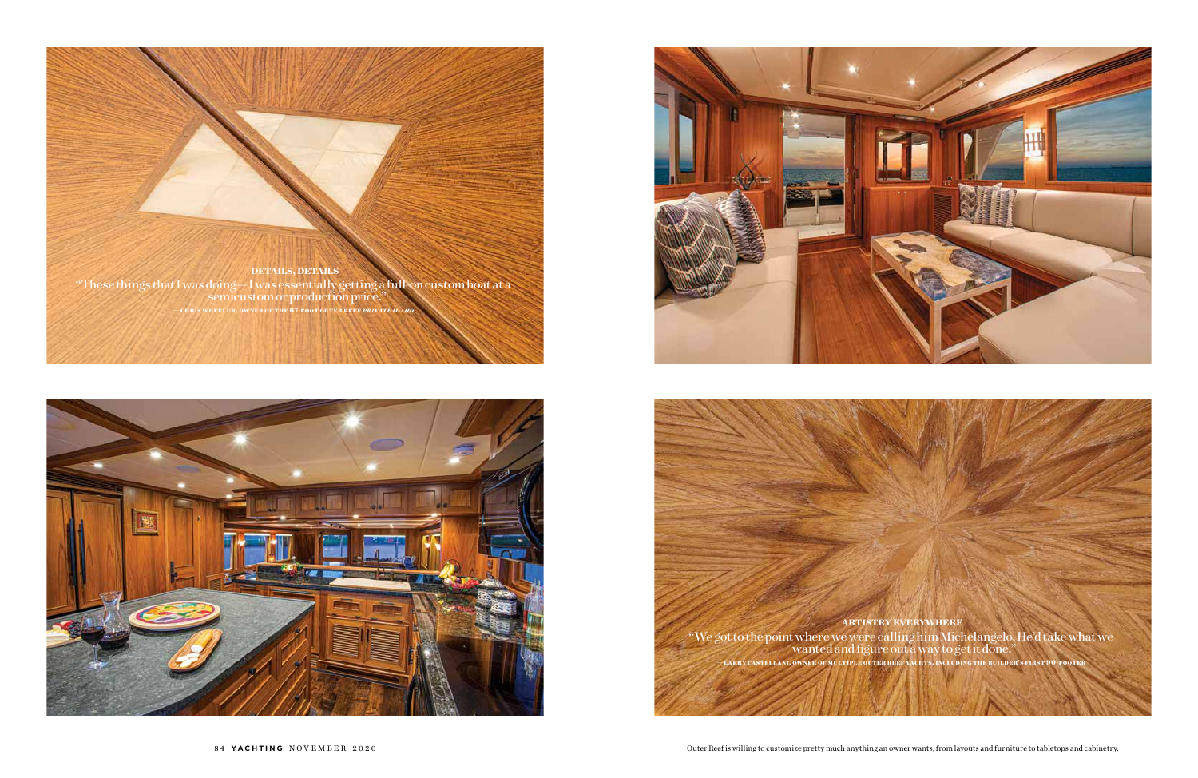

"These things that I was doing—I was essentially getting a full-on custom boat at a semicustom or production price."

**—chris wheeler, owner of the 67-foot outer reef** *private idaho*





**ARTISTRY EVERYWHERE** "We got to the point where we were calling him Michelangelo. He'd take what we wanted and figure out a way to get it done."



Outer Reef is willing to customize pretty much anything an owner wants, from layouts and furniture to tabletops and cabinetry.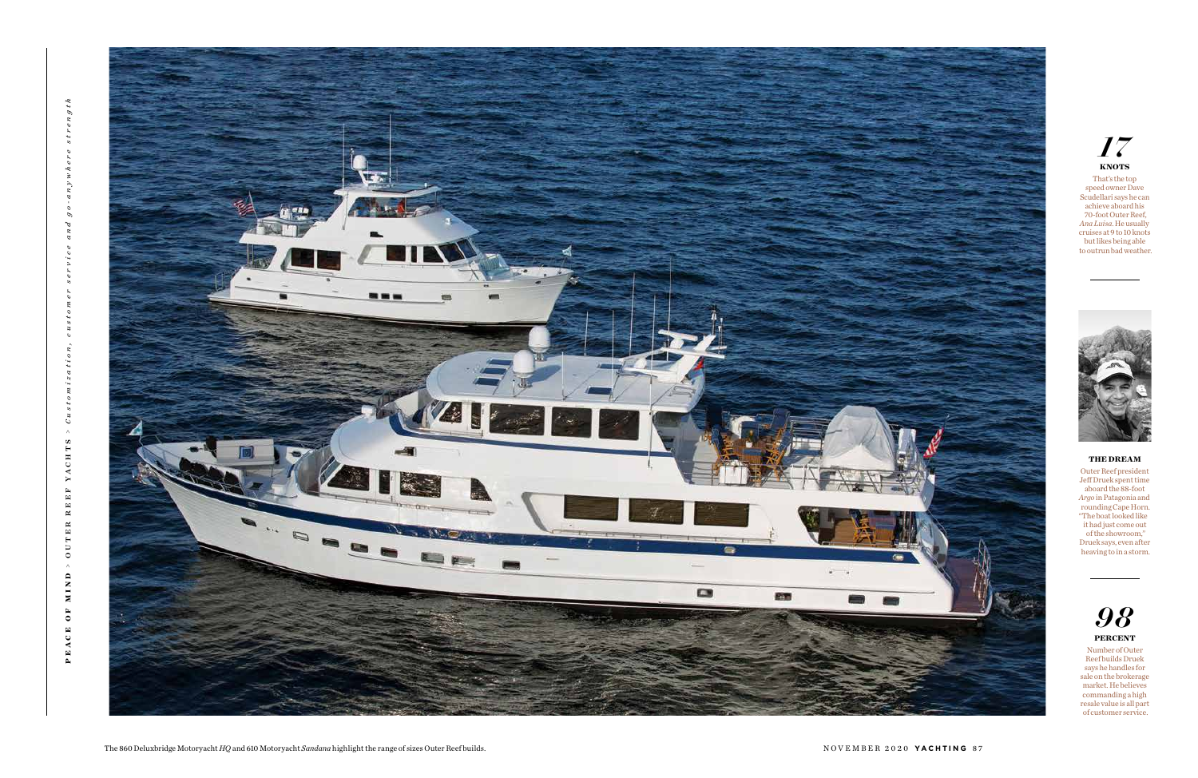



Number of Outer Reef builds Druek says he handles for sale on the brokerage market. He believes commanding a high resale value is all part of customer service.



That's the top speed owner Dave Scudellari says he can achieve aboard his 70-foot Outer Reef, *Ana Luisa*. He usually cruises at 9 to 10 knots but likes being able to outrun bad weather.



# **THE DREAM**

Outer Reef president Jeff Druek spent time aboard the 88-foot *Argo* in Patagonia and rounding Cape Horn. "The boat looked like it had just come out of the showroom," Druek says, even after heaving to in a storm.